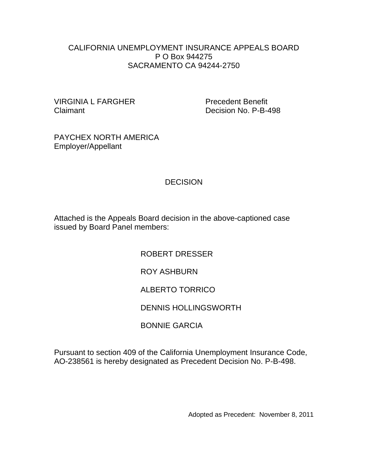#### CALIFORNIA UNEMPLOYMENT INSURANCE APPEALS BOARD P O Box 944275 SACRAMENTO CA 94244-2750

VIRGINIA L FARGHER Precedent Benefit Claimant Decision No. P-B-498

PAYCHEX NORTH AMERICA Employer/Appellant

# **DECISION**

Attached is the Appeals Board decision in the above-captioned case issued by Board Panel members:

> ROBERT DRESSER ROY ASHBURN ALBERTO TORRICO DENNIS HOLLINGSWORTH BONNIE GARCIA

Pursuant to section 409 of the California Unemployment Insurance Code, AO-238561 is hereby designated as Precedent Decision No. P-B-498.

Adopted as Precedent: November 8, 2011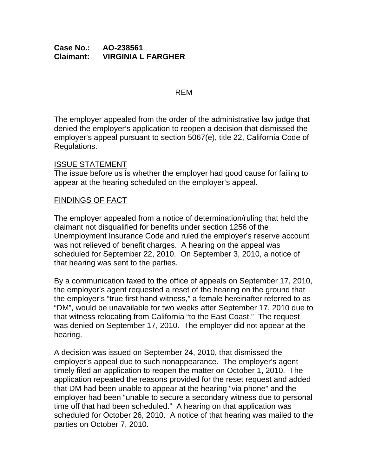#### REM

**\_\_\_\_\_\_\_\_\_\_\_\_\_\_\_\_\_\_\_\_\_\_\_\_\_\_\_\_\_\_\_\_\_\_\_\_\_\_\_\_\_\_\_\_\_\_\_\_\_\_\_\_\_\_\_\_\_\_\_**

The employer appealed from the order of the administrative law judge that denied the employer's application to reopen a decision that dismissed the employer's appeal pursuant to section 5067(e), title 22, California Code of Regulations.

### ISSUE STATEMENT

The issue before us is whether the employer had good cause for failing to appear at the hearing scheduled on the employer's appeal.

# FINDINGS OF FACT

The employer appealed from a notice of determination/ruling that held the claimant not disqualified for benefits under section 1256 of the Unemployment Insurance Code and ruled the employer's reserve account was not relieved of benefit charges. A hearing on the appeal was scheduled for September 22, 2010. On September 3, 2010, a notice of that hearing was sent to the parties.

By a communication faxed to the office of appeals on September 17, 2010, the employer's agent requested a reset of the hearing on the ground that the employer's "true first hand witness," a female hereinafter referred to as "DM", would be unavailable for two weeks after September 17, 2010 due to that witness relocating from California "to the East Coast." The request was denied on September 17, 2010. The employer did not appear at the hearing.

A decision was issued on September 24, 2010, that dismissed the employer's appeal due to such nonappearance. The employer's agent timely filed an application to reopen the matter on October 1, 2010. The application repeated the reasons provided for the reset request and added that DM had been unable to appear at the hearing "via phone" and the employer had been "unable to secure a secondary witness due to personal time off that had been scheduled." A hearing on that application was scheduled for October 26, 2010. A notice of that hearing was mailed to the parties on October 7, 2010.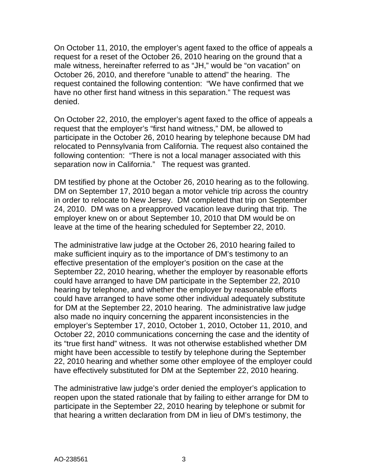On October 11, 2010, the employer's agent faxed to the office of appeals a request for a reset of the October 26, 2010 hearing on the ground that a male witness, hereinafter referred to as "JH," would be "on vacation" on October 26, 2010, and therefore "unable to attend" the hearing. The request contained the following contention: "We have confirmed that we have no other first hand witness in this separation." The request was denied.

On October 22, 2010, the employer's agent faxed to the office of appeals a request that the employer's "first hand witness," DM, be allowed to participate in the October 26, 2010 hearing by telephone because DM had relocated to Pennsylvania from California. The request also contained the following contention: "There is not a local manager associated with this separation now in California." The request was granted.

DM testified by phone at the October 26, 2010 hearing as to the following. DM on September 17, 2010 began a motor vehicle trip across the country in order to relocate to New Jersey. DM completed that trip on September 24, 2010. DM was on a preapproved vacation leave during that trip. The employer knew on or about September 10, 2010 that DM would be on leave at the time of the hearing scheduled for September 22, 2010.

The administrative law judge at the October 26, 2010 hearing failed to make sufficient inquiry as to the importance of DM's testimony to an effective presentation of the employer's position on the case at the September 22, 2010 hearing, whether the employer by reasonable efforts could have arranged to have DM participate in the September 22, 2010 hearing by telephone, and whether the employer by reasonable efforts could have arranged to have some other individual adequately substitute for DM at the September 22, 2010 hearing. The administrative law judge also made no inquiry concerning the apparent inconsistencies in the employer's September 17, 2010, October 1, 2010, October 11, 2010, and October 22, 2010 communications concerning the case and the identity of its "true first hand" witness. It was not otherwise established whether DM might have been accessible to testify by telephone during the September 22, 2010 hearing and whether some other employee of the employer could have effectively substituted for DM at the September 22, 2010 hearing.

The administrative law judge's order denied the employer's application to reopen upon the stated rationale that by failing to either arrange for DM to participate in the September 22, 2010 hearing by telephone or submit for that hearing a written declaration from DM in lieu of DM's testimony, the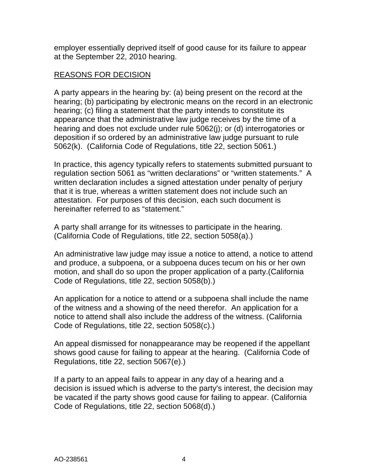employer essentially deprived itself of good cause for its failure to appear at the September 22, 2010 hearing.

## REASONS FOR DECISION

A party appears in the hearing by: (a) being present on the record at the hearing; (b) participating by electronic means on the record in an electronic hearing; (c) filing a statement that the party intends to constitute its appearance that the administrative law judge receives by the time of a hearing and does not exclude under rule 5062(j); or (d) interrogatories or deposition if so ordered by an administrative law judge pursuant to rule 5062(k). (California Code of Regulations, title 22, section 5061.)

In practice, this agency typically refers to statements submitted pursuant to regulation section 5061 as "written declarations" or "written statements." A written declaration includes a signed attestation under penalty of perjury that it is true, whereas a written statement does not include such an attestation. For purposes of this decision, each such document is hereinafter referred to as "statement."

A party shall arrange for its witnesses to participate in the hearing. (California Code of Regulations, title 22, section 5058(a).)

An administrative law judge may issue a notice to attend, a notice to attend and produce, a subpoena, or a subpoena duces tecum on his or her own motion, and shall do so upon the proper application of a party.(California Code of Regulations, title 22, section 5058(b).)

An application for a notice to attend or a subpoena shall include the name of the witness and a showing of the need therefor. An application for a notice to attend shall also include the address of the witness. (California Code of Regulations, title 22, section 5058(c).)

An appeal dismissed for nonappearance may be reopened if the appellant shows good cause for failing to appear at the hearing. (California Code of Regulations, title 22, section 5067(e).)

If a party to an appeal fails to appear in any day of a hearing and a decision is issued which is adverse to the party's interest, the decision may be vacated if the party shows good cause for failing to appear. (California Code of Regulations, title 22, section 5068(d).)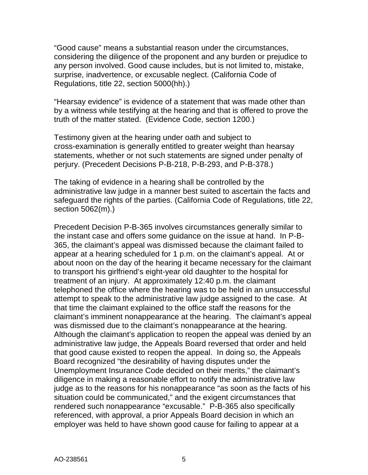"Good cause" means a substantial reason under the circumstances, considering the diligence of the proponent and any burden or prejudice to any person involved. Good cause includes, but is not limited to, mistake, surprise, inadvertence, or excusable neglect. (California Code of Regulations, title 22, section 5000(hh).)

"Hearsay evidence" is evidence of a statement that was made other than by a witness while testifying at the hearing and that is offered to prove the truth of the matter stated. (Evidence Code, section 1200.)

Testimony given at the hearing under oath and subject to cross-examination is generally entitled to greater weight than hearsay statements, whether or not such statements are signed under penalty of perjury. (Precedent Decisions P-B-218, P-B-293, and P-B-378.)

The taking of evidence in a hearing shall be controlled by the administrative law judge in a manner best suited to ascertain the facts and safeguard the rights of the parties. (California Code of Regulations, title 22, section 5062(m).)

Precedent Decision P-B-365 involves circumstances generally similar to the instant case and offers some guidance on the issue at hand. In P-B-365, the claimant's appeal was dismissed because the claimant failed to appear at a hearing scheduled for 1 p.m. on the claimant's appeal. At or about noon on the day of the hearing it became necessary for the claimant to transport his girlfriend's eight-year old daughter to the hospital for treatment of an injury. At approximately 12:40 p.m. the claimant telephoned the office where the hearing was to be held in an unsuccessful attempt to speak to the administrative law judge assigned to the case. At that time the claimant explained to the office staff the reasons for the claimant's imminent nonappearance at the hearing. The claimant's appeal was dismissed due to the claimant's nonappearance at the hearing. Although the claimant's application to reopen the appeal was denied by an administrative law judge, the Appeals Board reversed that order and held that good cause existed to reopen the appeal. In doing so, the Appeals Board recognized "the desirability of having disputes under the Unemployment Insurance Code decided on their merits," the claimant's diligence in making a reasonable effort to notify the administrative law judge as to the reasons for his nonappearance "as soon as the facts of his situation could be communicated," and the exigent circumstances that rendered such nonappearance "excusable." P-B-365 also specifically referenced, with approval, a prior Appeals Board decision in which an employer was held to have shown good cause for failing to appear at a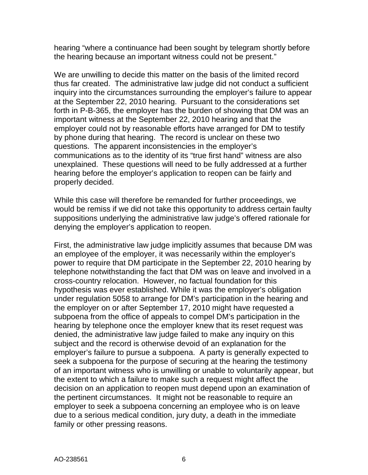hearing "where a continuance had been sought by telegram shortly before the hearing because an important witness could not be present."

We are unwilling to decide this matter on the basis of the limited record thus far created. The administrative law judge did not conduct a sufficient inquiry into the circumstances surrounding the employer's failure to appear at the September 22, 2010 hearing. Pursuant to the considerations set forth in P-B-365, the employer has the burden of showing that DM was an important witness at the September 22, 2010 hearing and that the employer could not by reasonable efforts have arranged for DM to testify by phone during that hearing. The record is unclear on these two questions. The apparent inconsistencies in the employer's communications as to the identity of its "true first hand" witness are also unexplained. These questions will need to be fully addressed at a further hearing before the employer's application to reopen can be fairly and properly decided.

While this case will therefore be remanded for further proceedings, we would be remiss if we did not take this opportunity to address certain faulty suppositions underlying the administrative law judge's offered rationale for denying the employer's application to reopen.

First, the administrative law judge implicitly assumes that because DM was an employee of the employer, it was necessarily within the employer's power to require that DM participate in the September 22, 2010 hearing by telephone notwithstanding the fact that DM was on leave and involved in a cross-country relocation. However, no factual foundation for this hypothesis was ever established. While it was the employer's obligation under regulation 5058 to arrange for DM's participation in the hearing and the employer on or after September 17, 2010 might have requested a subpoena from the office of appeals to compel DM's participation in the hearing by telephone once the employer knew that its reset request was denied, the administrative law judge failed to make any inquiry on this subject and the record is otherwise devoid of an explanation for the employer's failure to pursue a subpoena. A party is generally expected to seek a subpoena for the purpose of securing at the hearing the testimony of an important witness who is unwilling or unable to voluntarily appear, but the extent to which a failure to make such a request might affect the decision on an application to reopen must depend upon an examination of the pertinent circumstances. It might not be reasonable to require an employer to seek a subpoena concerning an employee who is on leave due to a serious medical condition, jury duty, a death in the immediate family or other pressing reasons.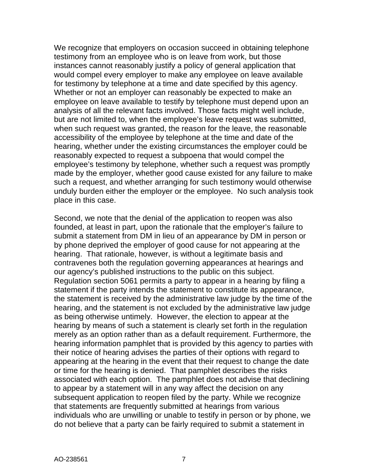We recognize that employers on occasion succeed in obtaining telephone testimony from an employee who is on leave from work, but those instances cannot reasonably justify a policy of general application that would compel every employer to make any employee on leave available for testimony by telephone at a time and date specified by this agency. Whether or not an employer can reasonably be expected to make an employee on leave available to testify by telephone must depend upon an analysis of all the relevant facts involved. Those facts might well include, but are not limited to, when the employee's leave request was submitted, when such request was granted, the reason for the leave, the reasonable accessibility of the employee by telephone at the time and date of the hearing, whether under the existing circumstances the employer could be reasonably expected to request a subpoena that would compel the employee's testimony by telephone, whether such a request was promptly made by the employer, whether good cause existed for any failure to make such a request, and whether arranging for such testimony would otherwise unduly burden either the employer or the employee. No such analysis took place in this case.

Second, we note that the denial of the application to reopen was also founded, at least in part, upon the rationale that the employer's failure to submit a statement from DM in lieu of an appearance by DM in person or by phone deprived the employer of good cause for not appearing at the hearing. That rationale, however, is without a legitimate basis and contravenes both the regulation governing appearances at hearings and our agency's published instructions to the public on this subject. Regulation section 5061 permits a party to appear in a hearing by filing a statement if the party intends the statement to constitute its appearance, the statement is received by the administrative law judge by the time of the hearing, and the statement is not excluded by the administrative law judge as being otherwise untimely. However, the election to appear at the hearing by means of such a statement is clearly set forth in the regulation merely as an option rather than as a default requirement. Furthermore, the hearing information pamphlet that is provided by this agency to parties with their notice of hearing advises the parties of their options with regard to appearing at the hearing in the event that their request to change the date or time for the hearing is denied. That pamphlet describes the risks associated with each option. The pamphlet does not advise that declining to appear by a statement will in any way affect the decision on any subsequent application to reopen filed by the party. While we recognize that statements are frequently submitted at hearings from various individuals who are unwilling or unable to testify in person or by phone, we do not believe that a party can be fairly required to submit a statement in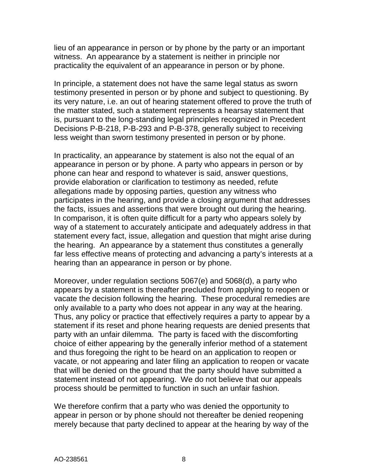lieu of an appearance in person or by phone by the party or an important witness. An appearance by a statement is neither in principle nor practicality the equivalent of an appearance in person or by phone.

In principle, a statement does not have the same legal status as sworn testimony presented in person or by phone and subject to questioning. By its very nature, i.e. an out of hearing statement offered to prove the truth of the matter stated, such a statement represents a hearsay statement that is, pursuant to the long-standing legal principles recognized in Precedent Decisions P-B-218, P-B-293 and P-B-378, generally subject to receiving less weight than sworn testimony presented in person or by phone.

In practicality, an appearance by statement is also not the equal of an appearance in person or by phone. A party who appears in person or by phone can hear and respond to whatever is said, answer questions, provide elaboration or clarification to testimony as needed, refute allegations made by opposing parties, question any witness who participates in the hearing, and provide a closing argument that addresses the facts, issues and assertions that were brought out during the hearing. In comparison, it is often quite difficult for a party who appears solely by way of a statement to accurately anticipate and adequately address in that statement every fact, issue, allegation and question that might arise during the hearing. An appearance by a statement thus constitutes a generally far less effective means of protecting and advancing a party's interests at a hearing than an appearance in person or by phone.

Moreover, under regulation sections 5067(e) and 5068(d), a party who appears by a statement is thereafter precluded from applying to reopen or vacate the decision following the hearing. These procedural remedies are only available to a party who does not appear in any way at the hearing. Thus, any policy or practice that effectively requires a party to appear by a statement if its reset and phone hearing requests are denied presents that party with an unfair dilemma. The party is faced with the discomforting choice of either appearing by the generally inferior method of a statement and thus foregoing the right to be heard on an application to reopen or vacate, or not appearing and later filing an application to reopen or vacate that will be denied on the ground that the party should have submitted a statement instead of not appearing. We do not believe that our appeals process should be permitted to function in such an unfair fashion.

We therefore confirm that a party who was denied the opportunity to appear in person or by phone should not thereafter be denied reopening merely because that party declined to appear at the hearing by way of the